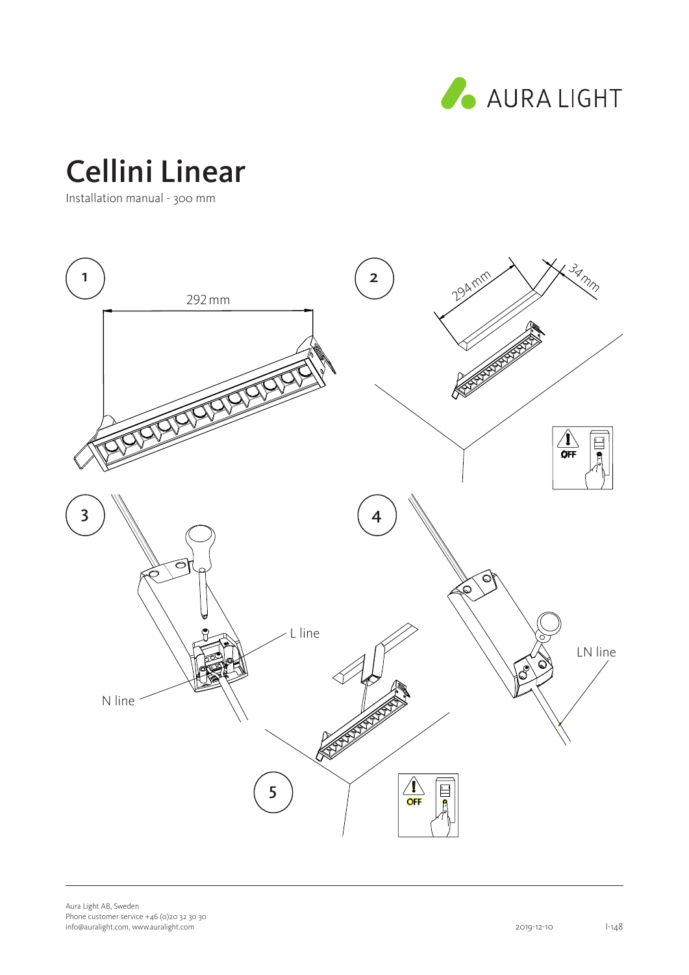

# Cellini Linear

Installation manual - 300 mm